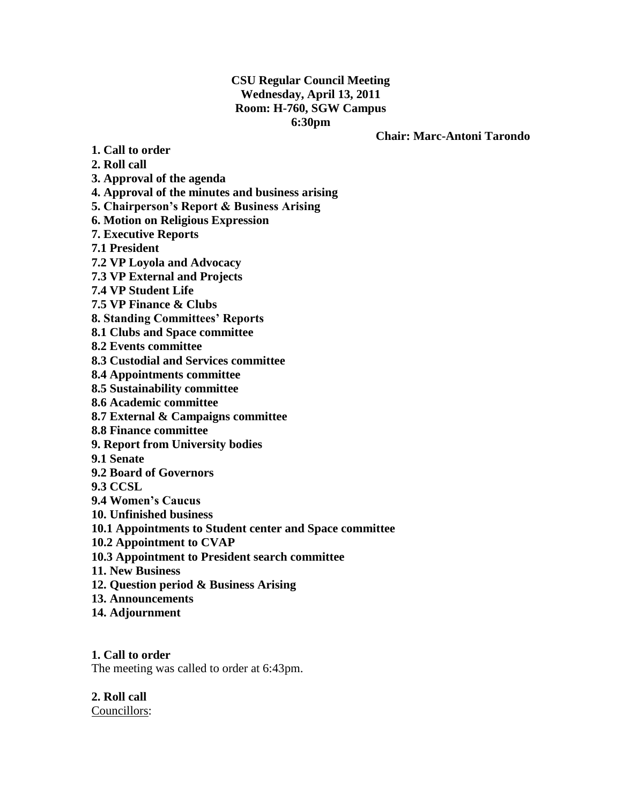## **CSU Regular Council Meeting Wednesday, April 13, 2011 Room: H-760, SGW Campus 6:30pm**

#### **Chair: Marc-Antoni Tarondo**

**1. Call to order**

**2. Roll call**

**3. Approval of the agenda**

**4. Approval of the minutes and business arising**

**5. Chairperson's Report & Business Arising**

**6. Motion on Religious Expression**

**7. Executive Reports**

**7.1 President**

**7.2 VP Loyola and Advocacy**

**7.3 VP External and Projects**

**7.4 VP Student Life**

**7.5 VP Finance & Clubs**

**8. Standing Committees' Reports**

**8.1 Clubs and Space committee** 

**8.2 Events committee**

**8.3 Custodial and Services committee**

**8.4 Appointments committee**

**8.5 Sustainability committee**

**8.6 Academic committee**

**8.7 External & Campaigns committee**

**8.8 Finance committee** 

**9. Report from University bodies**

**9.1 Senate**

**9.2 Board of Governors**

**9.3 CCSL**

**9.4 Women's Caucus**

**10. Unfinished business**

**10.1 Appointments to Student center and Space committee**

**10.2 Appointment to CVAP**

**10.3 Appointment to President search committee**

**11. New Business**

**12. Question period & Business Arising**

**13. Announcements**

**14. Adjournment**

**1. Call to order**

The meeting was called to order at 6:43pm.

**2. Roll call** Councillors: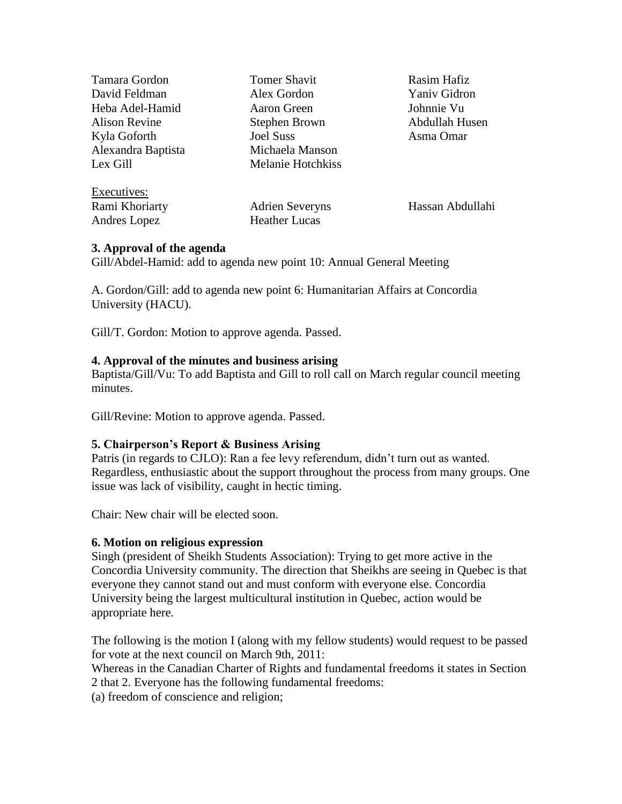| <b>Tomer Shavit</b>      | Rasim Hafiz      |
|--------------------------|------------------|
| Alex Gordon              | Yaniv Gidron     |
| Aaron Green              | Johnnie Vu       |
| Stephen Brown            | Abdullah Husen   |
| <b>Joel Suss</b>         | Asma Omar        |
| Michaela Manson          |                  |
| <b>Melanie Hotchkiss</b> |                  |
|                          |                  |
| <b>Adrien Severyns</b>   | Hassan Abdullahi |
| <b>Heather Lucas</b>     |                  |
|                          |                  |

## **3. Approval of the agenda**

Gill/Abdel-Hamid: add to agenda new point 10: Annual General Meeting

A. Gordon/Gill: add to agenda new point 6: Humanitarian Affairs at Concordia University (HACU).

Gill/T. Gordon: Motion to approve agenda. Passed.

## **4. Approval of the minutes and business arising**

Baptista/Gill/Vu: To add Baptista and Gill to roll call on March regular council meeting minutes.

Gill/Revine: Motion to approve agenda. Passed.

## **5. Chairperson's Report & Business Arising**

Patris (in regards to CJLO): Ran a fee levy referendum, didn"t turn out as wanted. Regardless, enthusiastic about the support throughout the process from many groups. One issue was lack of visibility, caught in hectic timing.

Chair: New chair will be elected soon.

#### **6. Motion on religious expression**

Singh (president of Sheikh Students Association): Trying to get more active in the Concordia University community. The direction that Sheikhs are seeing in Quebec is that everyone they cannot stand out and must conform with everyone else. Concordia University being the largest multicultural institution in Quebec, action would be appropriate here.

The following is the motion I (along with my fellow students) would request to be passed for vote at the next council on March 9th, 2011:

Whereas in the Canadian Charter of Rights and fundamental freedoms it states in Section 2 that 2. Everyone has the following fundamental freedoms:

(a) freedom of conscience and religion;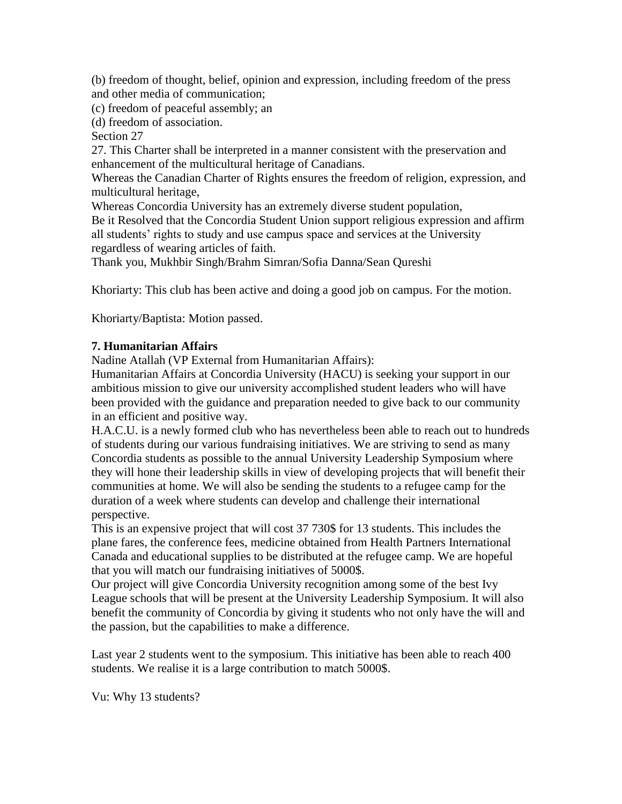(b) freedom of thought, belief, opinion and expression, including freedom of the press and other media of communication;

(c) freedom of peaceful assembly; an

(d) freedom of association.

Section 27

27. This Charter shall be interpreted in a manner consistent with the preservation and enhancement of the multicultural heritage of Canadians.

Whereas the Canadian Charter of Rights ensures the freedom of religion, expression, and multicultural heritage,

Whereas Concordia University has an extremely diverse student population,

Be it Resolved that the Concordia Student Union support religious expression and affirm all students' rights to study and use campus space and services at the University regardless of wearing articles of faith.

Thank you, Mukhbir Singh/Brahm Simran/Sofia Danna/Sean Qureshi

Khoriarty: This club has been active and doing a good job on campus. For the motion.

Khoriarty/Baptista: Motion passed.

## **7. Humanitarian Affairs**

Nadine Atallah (VP External from Humanitarian Affairs):

Humanitarian Affairs at Concordia University (HACU) is seeking your support in our ambitious mission to give our university accomplished student leaders who will have been provided with the guidance and preparation needed to give back to our community in an efficient and positive way.

H.A.C.U. is a newly formed club who has nevertheless been able to reach out to hundreds of students during our various fundraising initiatives. We are striving to send as many Concordia students as possible to the annual University Leadership Symposium where they will hone their leadership skills in view of developing projects that will benefit their communities at home. We will also be sending the students to a refugee camp for the duration of a week where students can develop and challenge their international perspective.

This is an expensive project that will cost 37 730\$ for 13 students. This includes the plane fares, the conference fees, medicine obtained from Health Partners International Canada and educational supplies to be distributed at the refugee camp. We are hopeful that you will match our fundraising initiatives of 5000\$.

Our project will give Concordia University recognition among some of the best Ivy League schools that will be present at the University Leadership Symposium. It will also benefit the community of Concordia by giving it students who not only have the will and the passion, but the capabilities to make a difference.

Last year 2 students went to the symposium. This initiative has been able to reach 400 students. We realise it is a large contribution to match 5000\$.

Vu: Why 13 students?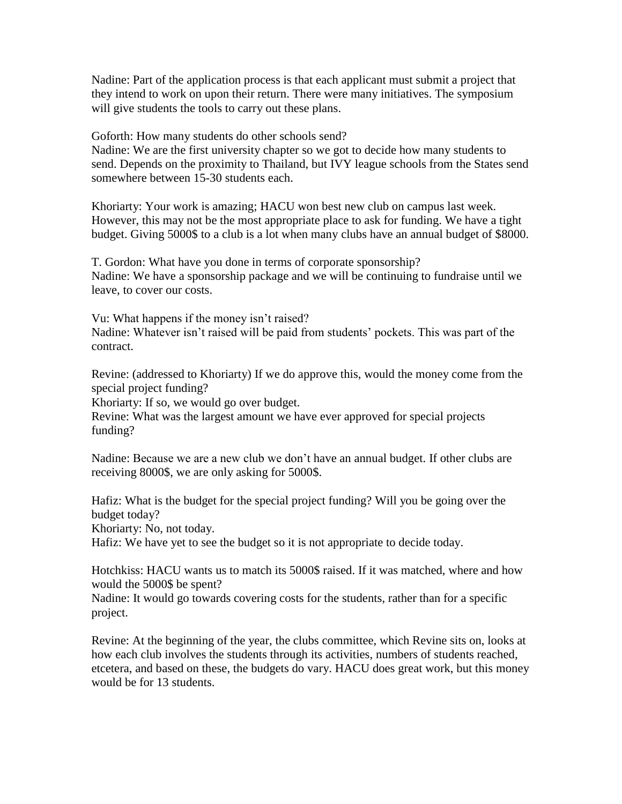Nadine: Part of the application process is that each applicant must submit a project that they intend to work on upon their return. There were many initiatives. The symposium will give students the tools to carry out these plans.

Goforth: How many students do other schools send?

Nadine: We are the first university chapter so we got to decide how many students to send. Depends on the proximity to Thailand, but IVY league schools from the States send somewhere between 15-30 students each.

Khoriarty: Your work is amazing; HACU won best new club on campus last week. However, this may not be the most appropriate place to ask for funding. We have a tight budget. Giving 5000\$ to a club is a lot when many clubs have an annual budget of \$8000.

T. Gordon: What have you done in terms of corporate sponsorship? Nadine: We have a sponsorship package and we will be continuing to fundraise until we leave, to cover our costs.

Vu: What happens if the money isn"t raised? Nadine: Whatever isn't raised will be paid from students' pockets. This was part of the contract.

Revine: (addressed to Khoriarty) If we do approve this, would the money come from the special project funding?

Khoriarty: If so, we would go over budget.

Revine: What was the largest amount we have ever approved for special projects funding?

Nadine: Because we are a new club we don"t have an annual budget. If other clubs are receiving 8000\$, we are only asking for 5000\$.

Hafiz: What is the budget for the special project funding? Will you be going over the budget today?

Khoriarty: No, not today.

Hafiz: We have yet to see the budget so it is not appropriate to decide today.

Hotchkiss: HACU wants us to match its 5000\$ raised. If it was matched, where and how would the 5000\$ be spent?

Nadine: It would go towards covering costs for the students, rather than for a specific project.

Revine: At the beginning of the year, the clubs committee, which Revine sits on, looks at how each club involves the students through its activities, numbers of students reached, etcetera, and based on these, the budgets do vary. HACU does great work, but this money would be for 13 students.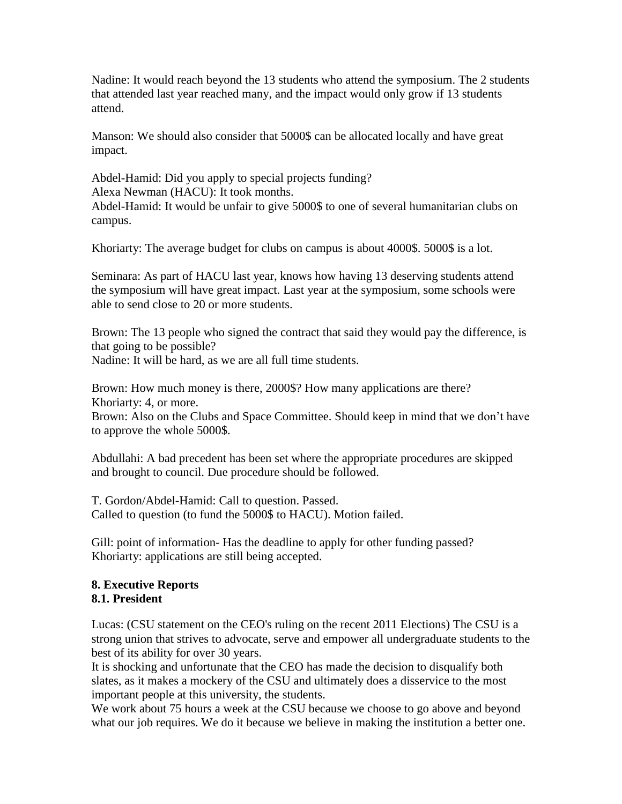Nadine: It would reach beyond the 13 students who attend the symposium. The 2 students that attended last year reached many, and the impact would only grow if 13 students attend.

Manson: We should also consider that 5000\$ can be allocated locally and have great impact.

Abdel-Hamid: Did you apply to special projects funding? Alexa Newman (HACU): It took months. Abdel-Hamid: It would be unfair to give 5000\$ to one of several humanitarian clubs on campus.

Khoriarty: The average budget for clubs on campus is about 4000\$. 5000\$ is a lot.

Seminara: As part of HACU last year, knows how having 13 deserving students attend the symposium will have great impact. Last year at the symposium, some schools were able to send close to 20 or more students.

Brown: The 13 people who signed the contract that said they would pay the difference, is that going to be possible? Nadine: It will be hard, as we are all full time students.

Brown: How much money is there, 2000\$? How many applications are there? Khoriarty: 4, or more.

Brown: Also on the Clubs and Space Committee. Should keep in mind that we don"t have to approve the whole 5000\$.

Abdullahi: A bad precedent has been set where the appropriate procedures are skipped and brought to council. Due procedure should be followed.

T. Gordon/Abdel-Hamid: Call to question. Passed. Called to question (to fund the 5000\$ to HACU). Motion failed.

Gill: point of information- Has the deadline to apply for other funding passed? Khoriarty: applications are still being accepted.

## **8. Executive Reports 8.1. President**

Lucas: (CSU statement on the CEO's ruling on the recent 2011 Elections) The CSU is a strong union that strives to advocate, serve and empower all undergraduate students to the best of its ability for over 30 years.

It is shocking and unfortunate that the CEO has made the decision to disqualify both slates, as it makes a mockery of the CSU and ultimately does a disservice to the most important people at this university, the students.

We work about 75 hours a week at the CSU because we choose to go above and beyond what our job requires. We do it because we believe in making the institution a better one.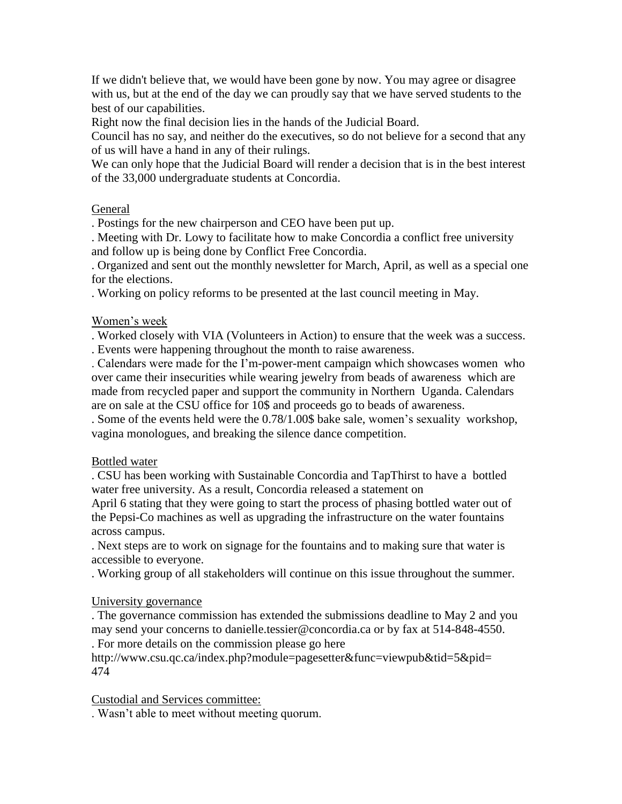If we didn't believe that, we would have been gone by now. You may agree or disagree with us, but at the end of the day we can proudly say that we have served students to the best of our capabilities.

Right now the final decision lies in the hands of the Judicial Board.

Council has no say, and neither do the executives, so do not believe for a second that any of us will have a hand in any of their rulings.

We can only hope that the Judicial Board will render a decision that is in the best interest of the 33,000 undergraduate students at Concordia.

## General

. Postings for the new chairperson and CEO have been put up.

. Meeting with Dr. Lowy to facilitate how to make Concordia a conflict free university and follow up is being done by Conflict Free Concordia.

. Organized and sent out the monthly newsletter for March, April, as well as a special one for the elections.

. Working on policy reforms to be presented at the last council meeting in May.

## Women"s week

. Worked closely with VIA (Volunteers in Action) to ensure that the week was a success. . Events were happening throughout the month to raise awareness.

. Calendars were made for the I"m-power-ment campaign which showcases women who over came their insecurities while wearing jewelry from beads of awareness which are made from recycled paper and support the community in Northern Uganda. Calendars are on sale at the CSU office for 10\$ and proceeds go to beads of awareness.

. Some of the events held were the 0.78/1.00\$ bake sale, women"s sexuality workshop, vagina monologues, and breaking the silence dance competition.

#### Bottled water

. CSU has been working with Sustainable Concordia and TapThirst to have a bottled water free university. As a result, Concordia released a statement on

April 6 stating that they were going to start the process of phasing bottled water out of the Pepsi-Co machines as well as upgrading the infrastructure on the water fountains across campus.

. Next steps are to work on signage for the fountains and to making sure that water is accessible to everyone.

. Working group of all stakeholders will continue on this issue throughout the summer.

#### University governance

. The governance commission has extended the submissions deadline to May 2 and you may send your concerns to danielle.tessier@concordia.ca or by fax at 514-848-4550.

. For more details on the commission please go here

http://www.csu.qc.ca/index.php?module=pagesetter&func=viewpub&tid=5&pid= 474

Custodial and Services committee:

. Wasn"t able to meet without meeting quorum.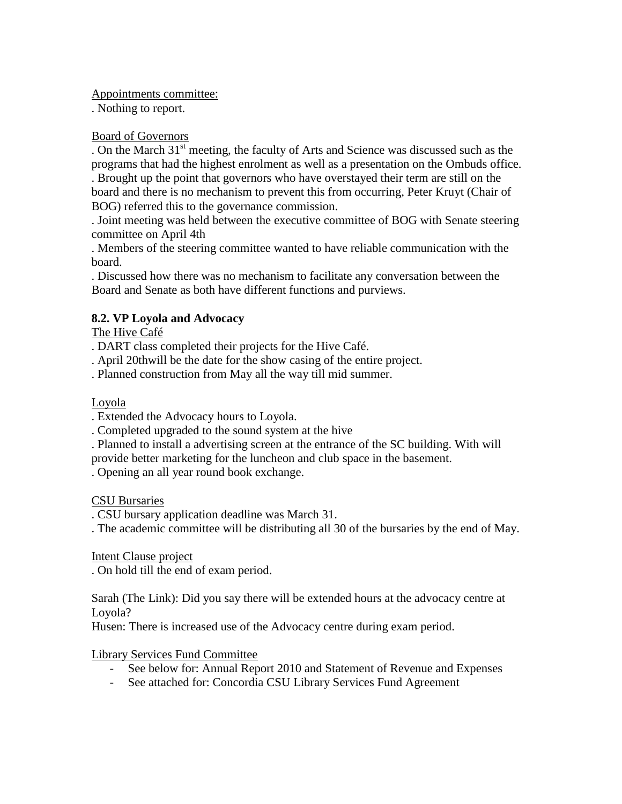Appointments committee:

. Nothing to report.

## Board of Governors

. On the March  $31<sup>st</sup>$  meeting, the faculty of Arts and Science was discussed such as the programs that had the highest enrolment as well as a presentation on the Ombuds office. . Brought up the point that governors who have overstayed their term are still on the board and there is no mechanism to prevent this from occurring, Peter Kruyt (Chair of BOG) referred this to the governance commission.

. Joint meeting was held between the executive committee of BOG with Senate steering committee on April 4th

. Members of the steering committee wanted to have reliable communication with the board.

. Discussed how there was no mechanism to facilitate any conversation between the Board and Senate as both have different functions and purviews.

# **8.2. VP Loyola and Advocacy**

The Hive Café

. DART class completed their projects for the Hive Café.

. April 20thwill be the date for the show casing of the entire project.

. Planned construction from May all the way till mid summer.

# Loyola

. Extended the Advocacy hours to Loyola.

. Completed upgraded to the sound system at the hive

. Planned to install a advertising screen at the entrance of the SC building. With will provide better marketing for the luncheon and club space in the basement.

. Opening an all year round book exchange.

# CSU Bursaries

. CSU bursary application deadline was March 31.

. The academic committee will be distributing all 30 of the bursaries by the end of May.

Intent Clause project

. On hold till the end of exam period.

Sarah (The Link): Did you say there will be extended hours at the advocacy centre at Loyola?

Husen: There is increased use of the Advocacy centre during exam period.

Library Services Fund Committee

- See below for: Annual Report 2010 and Statement of Revenue and Expenses
- See attached for: Concordia CSU Library Services Fund Agreement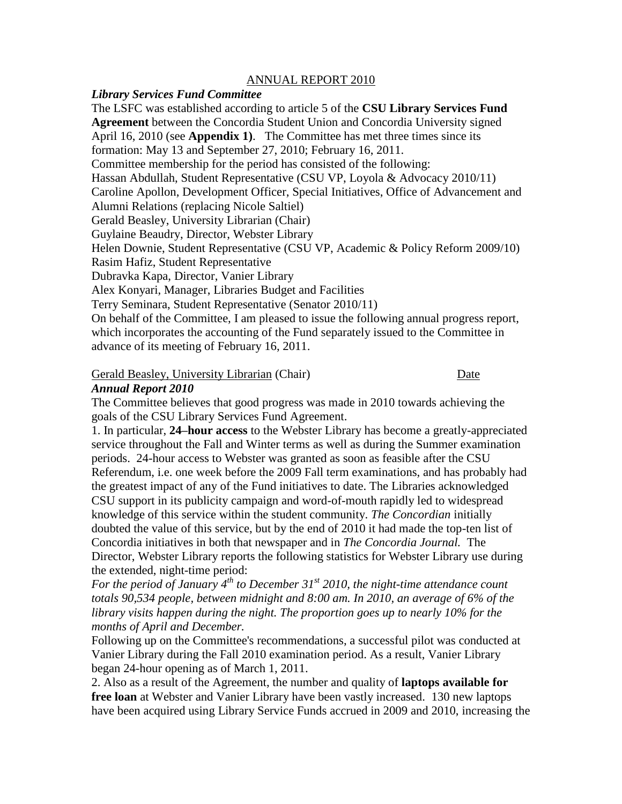#### ANNUAL REPORT 2010

#### *Library Services Fund Committee*

The LSFC was established according to article 5 of the **CSU Library Services Fund Agreement** between the Concordia Student Union and Concordia University signed April 16, 2010 (see **Appendix 1)**. The Committee has met three times since its formation: May 13 and September 27, 2010; February 16, 2011. Committee membership for the period has consisted of the following: Hassan Abdullah, Student Representative (CSU VP, Loyola & Advocacy 2010/11) Caroline Apollon, Development Officer, Special Initiatives, Office of Advancement and Alumni Relations (replacing Nicole Saltiel) Gerald Beasley, University Librarian (Chair) Guylaine Beaudry, Director, Webster Library Helen Downie, Student Representative (CSU VP, Academic & Policy Reform 2009/10) Rasim Hafiz, Student Representative Dubravka Kapa, Director, Vanier Library Alex Konyari, Manager, Libraries Budget and Facilities Terry Seminara, Student Representative (Senator 2010/11) On behalf of the Committee, I am pleased to issue the following annual progress report, which incorporates the accounting of the Fund separately issued to the Committee in advance of its meeting of February 16, 2011.

Gerald Beasley, University Librarian (Chair) Date

#### *Annual Report 2010*

The Committee believes that good progress was made in 2010 towards achieving the goals of the CSU Library Services Fund Agreement.

1. In particular, **24–hour access** to the Webster Library has become a greatly-appreciated service throughout the Fall and Winter terms as well as during the Summer examination periods. 24-hour access to Webster was granted as soon as feasible after the CSU Referendum, i.e. one week before the 2009 Fall term examinations, and has probably had the greatest impact of any of the Fund initiatives to date. The Libraries acknowledged CSU support in its publicity campaign and word-of-mouth rapidly led to widespread knowledge of this service within the student community. *The Concordian* initially doubted the value of this service, but by the end of 2010 it had made the top-ten list of Concordia initiatives in both that newspaper and in *The Concordia Journal.* The Director, Webster Library reports the following statistics for Webster Library use during the extended, night-time period:

*For the period of January 4th to December 31st 2010, the night-time attendance count totals 90,534 people, between midnight and 8:00 am. In 2010, an average of 6% of the library visits happen during the night. The proportion goes up to nearly 10% for the months of April and December.*

Following up on the Committee's recommendations, a successful pilot was conducted at Vanier Library during the Fall 2010 examination period. As a result, Vanier Library began 24-hour opening as of March 1, 2011.

2. Also as a result of the Agreement, the number and quality of **laptops available for free loan** at Webster and Vanier Library have been vastly increased. 130 new laptops have been acquired using Library Service Funds accrued in 2009 and 2010, increasing the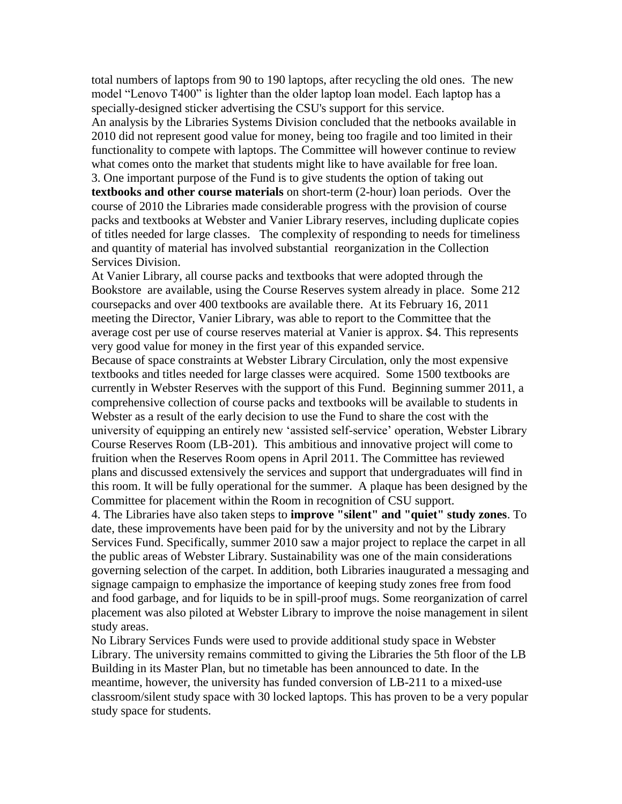total numbers of laptops from 90 to 190 laptops, after recycling the old ones. The new model "Lenovo T400" is lighter than the older laptop loan model. Each laptop has a specially-designed sticker advertising the CSU's support for this service.

An analysis by the Libraries Systems Division concluded that the netbooks available in 2010 did not represent good value for money, being too fragile and too limited in their functionality to compete with laptops. The Committee will however continue to review what comes onto the market that students might like to have available for free loan.

3. One important purpose of the Fund is to give students the option of taking out **textbooks and other course materials** on short-term (2-hour) loan periods. Over the course of 2010 the Libraries made considerable progress with the provision of course packs and textbooks at Webster and Vanier Library reserves, including duplicate copies of titles needed for large classes. The complexity of responding to needs for timeliness and quantity of material has involved substantial reorganization in the Collection Services Division.

At Vanier Library, all course packs and textbooks that were adopted through the Bookstore are available, using the Course Reserves system already in place. Some 212 coursepacks and over 400 textbooks are available there. At its February 16, 2011 meeting the Director, Vanier Library, was able to report to the Committee that the average cost per use of course reserves material at Vanier is approx. \$4. This represents very good value for money in the first year of this expanded service.

Because of space constraints at Webster Library Circulation, only the most expensive textbooks and titles needed for large classes were acquired. Some 1500 textbooks are currently in Webster Reserves with the support of this Fund. Beginning summer 2011, a comprehensive collection of course packs and textbooks will be available to students in Webster as a result of the early decision to use the Fund to share the cost with the university of equipping an entirely new "assisted self-service" operation, Webster Library Course Reserves Room (LB-201). This ambitious and innovative project will come to fruition when the Reserves Room opens in April 2011. The Committee has reviewed plans and discussed extensively the services and support that undergraduates will find in this room. It will be fully operational for the summer. A plaque has been designed by the Committee for placement within the Room in recognition of CSU support.

4. The Libraries have also taken steps to **improve "silent" and "quiet" study zones**. To date, these improvements have been paid for by the university and not by the Library Services Fund. Specifically, summer 2010 saw a major project to replace the carpet in all the public areas of Webster Library. Sustainability was one of the main considerations governing selection of the carpet. In addition, both Libraries inaugurated a messaging and signage campaign to emphasize the importance of keeping study zones free from food and food garbage, and for liquids to be in spill-proof mugs. Some reorganization of carrel placement was also piloted at Webster Library to improve the noise management in silent study areas.

No Library Services Funds were used to provide additional study space in Webster Library. The university remains committed to giving the Libraries the 5th floor of the LB Building in its Master Plan, but no timetable has been announced to date. In the meantime, however, the university has funded conversion of LB-211 to a mixed-use classroom/silent study space with 30 locked laptops. This has proven to be a very popular study space for students.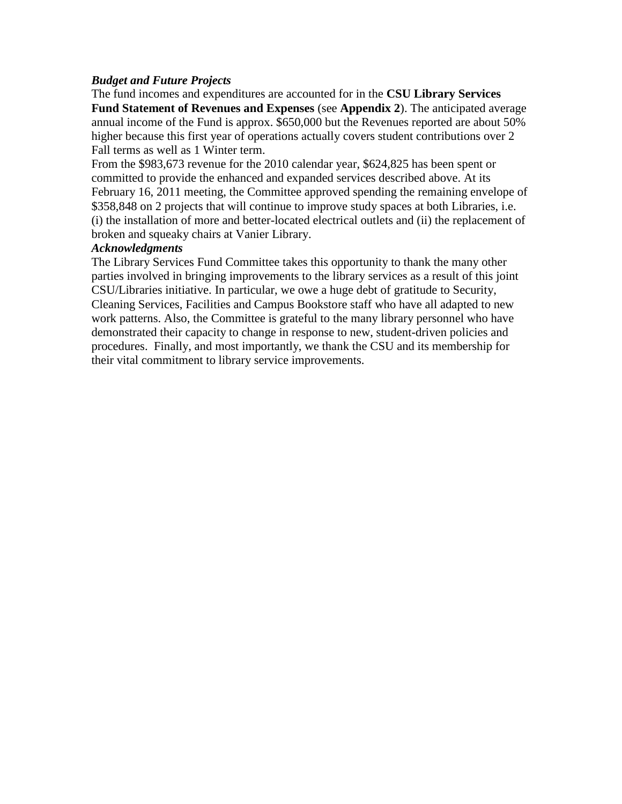#### *Budget and Future Projects*

The fund incomes and expenditures are accounted for in the **CSU Library Services Fund Statement of Revenues and Expenses** (see **Appendix 2**). The anticipated average annual income of the Fund is approx. \$650,000 but the Revenues reported are about 50% higher because this first year of operations actually covers student contributions over 2 Fall terms as well as 1 Winter term.

From the \$983,673 revenue for the 2010 calendar year, \$624,825 has been spent or committed to provide the enhanced and expanded services described above. At its February 16, 2011 meeting, the Committee approved spending the remaining envelope of \$358,848 on 2 projects that will continue to improve study spaces at both Libraries, i.e. (i) the installation of more and better-located electrical outlets and (ii) the replacement of broken and squeaky chairs at Vanier Library.

#### *Acknowledgments*

The Library Services Fund Committee takes this opportunity to thank the many other parties involved in bringing improvements to the library services as a result of this joint CSU/Libraries initiative. In particular, we owe a huge debt of gratitude to Security, Cleaning Services, Facilities and Campus Bookstore staff who have all adapted to new work patterns. Also, the Committee is grateful to the many library personnel who have demonstrated their capacity to change in response to new, student-driven policies and procedures. Finally, and most importantly, we thank the CSU and its membership for their vital commitment to library service improvements.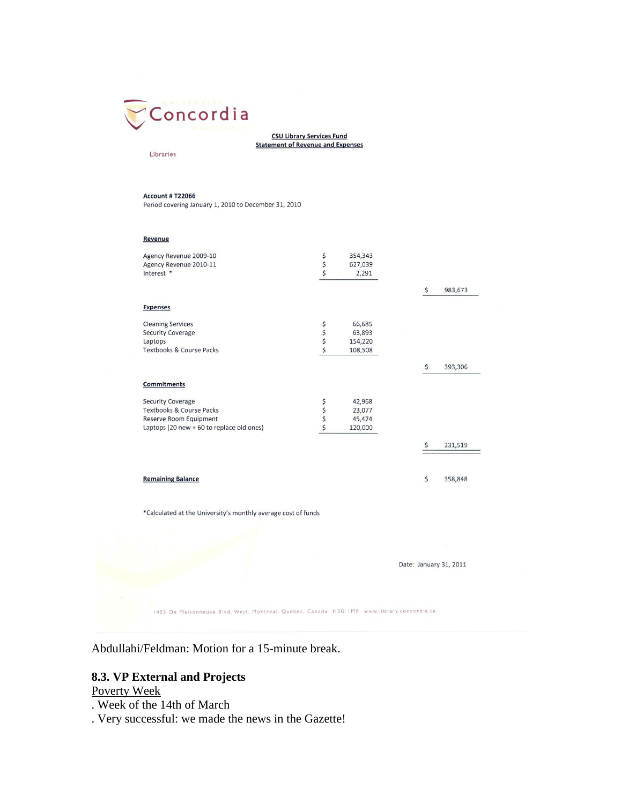

**CSU Library Services Fund Statement of Revenue and Expenses** 

#### Libraries

**Account # T22066** 

Period covering January 1, 2010 to December 31, 2010

| Agency Revenue 2009-10                                                                    |          |         |    |                        |
|-------------------------------------------------------------------------------------------|----------|---------|----|------------------------|
|                                                                                           | \$\$     | 354,343 |    |                        |
| Agency Revenue 2010-11                                                                    |          | 627,039 |    |                        |
| Interest *                                                                                |          | 2,291   |    |                        |
|                                                                                           |          |         | \$ | 983,673                |
| <b>Expenses</b>                                                                           |          |         |    |                        |
| <b>Cleaning Services</b>                                                                  | \$\$\$\$ | 66,685  |    |                        |
| <b>Security Coverage</b>                                                                  |          | 63,893  |    |                        |
| Laptops                                                                                   |          | 154,220 |    |                        |
| Textbooks & Course Packs                                                                  |          | 108,508 |    |                        |
|                                                                                           |          |         | \$ | 393,306                |
| Commitments                                                                               |          |         |    |                        |
| <b>Security Coverage</b>                                                                  |          | 42,968  |    |                        |
| Textbooks & Course Packs                                                                  |          | 23,077  |    |                        |
| Reserve Room Equipment                                                                    | いちゅう     | 45,474  |    |                        |
| Laptops (20 new + 60 to replace old ones)                                                 |          | 120,000 |    |                        |
|                                                                                           |          |         | \$ | 231,519                |
| <b>Remaining Balance</b>                                                                  |          |         | \$ | 358,848                |
| *Calculated at the University's monthly average cost of funds                             |          |         |    |                        |
|                                                                                           |          |         |    |                        |
|                                                                                           |          |         |    |                        |
|                                                                                           |          |         |    |                        |
|                                                                                           |          |         |    | Date: January 31, 2011 |
|                                                                                           |          |         |    |                        |
| 1455 De Maisonneuve Blvd. West, Montreal, Quebec, Canada H3G IM8 www.library.concordia.ca |          |         |    |                        |

Abdullahi/Feldman: Motion for a 15-minute break.

## **8.3. VP External and Projects**

Poverty Week

- . Week of the 14th of March
- . Very successful: we made the news in the Gazette!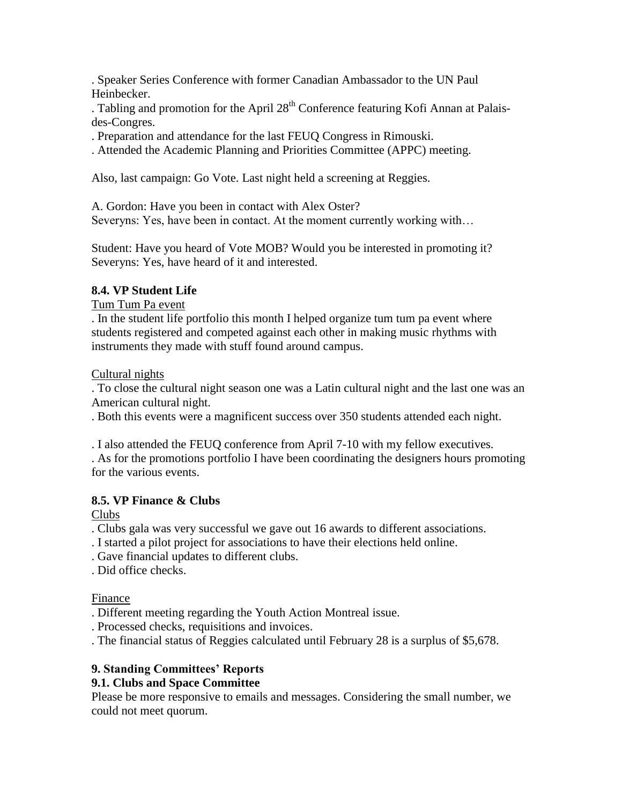. Speaker Series Conference with former Canadian Ambassador to the UN Paul Heinbecker.

. Tabling and promotion for the April  $28<sup>th</sup>$  Conference featuring Kofi Annan at Palaisdes-Congres.

. Preparation and attendance for the last FEUQ Congress in Rimouski.

. Attended the Academic Planning and Priorities Committee (APPC) meeting.

Also, last campaign: Go Vote. Last night held a screening at Reggies.

A. Gordon: Have you been in contact with Alex Oster? Severyns: Yes, have been in contact. At the moment currently working with…

Student: Have you heard of Vote MOB? Would you be interested in promoting it? Severyns: Yes, have heard of it and interested.

## **8.4. VP Student Life**

Tum Tum Pa event

. In the student life portfolio this month I helped organize tum tum pa event where students registered and competed against each other in making music rhythms with instruments they made with stuff found around campus.

Cultural nights

. To close the cultural night season one was a Latin cultural night and the last one was an American cultural night.

. Both this events were a magnificent success over 350 students attended each night.

. I also attended the FEUQ conference from April 7-10 with my fellow executives. . As for the promotions portfolio I have been coordinating the designers hours promoting for the various events.

## **8.5. VP Finance & Clubs**

Clubs

. Clubs gala was very successful we gave out 16 awards to different associations.

- . I started a pilot project for associations to have their elections held online.
- . Gave financial updates to different clubs.
- . Did office checks.

Finance

. Different meeting regarding the Youth Action Montreal issue.

. Processed checks, requisitions and invoices.

. The financial status of Reggies calculated until February 28 is a surplus of \$5,678.

## **9. Standing Committees' Reports**

# **9.1. Clubs and Space Committee**

Please be more responsive to emails and messages. Considering the small number, we could not meet quorum.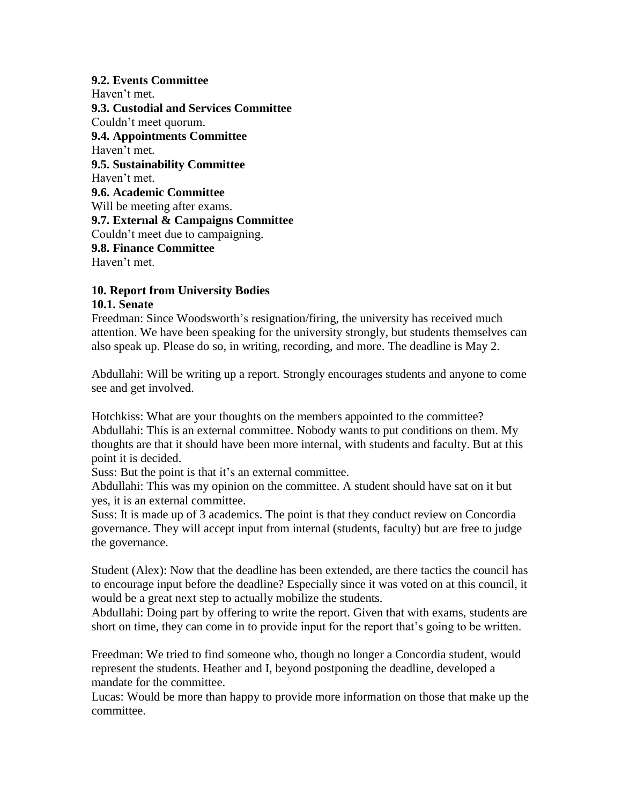#### **9.2. Events Committee**

Haven't met. **9.3. Custodial and Services Committee** Couldn"t meet quorum. **9.4. Appointments Committee** Haven't met. **9.5. Sustainability Committee** Haven"t met. **9.6. Academic Committee** Will be meeting after exams. **9.7. External & Campaigns Committee** Couldn"t meet due to campaigning. **9.8. Finance Committee** Haven't met.

#### **10. Report from University Bodies 10.1. Senate**

Freedman: Since Woodsworth's resignation/firing, the university has received much attention. We have been speaking for the university strongly, but students themselves can also speak up. Please do so, in writing, recording, and more. The deadline is May 2.

Abdullahi: Will be writing up a report. Strongly encourages students and anyone to come see and get involved.

Hotchkiss: What are your thoughts on the members appointed to the committee? Abdullahi: This is an external committee. Nobody wants to put conditions on them. My thoughts are that it should have been more internal, with students and faculty. But at this point it is decided.

Suss: But the point is that it's an external committee.

Abdullahi: This was my opinion on the committee. A student should have sat on it but yes, it is an external committee.

Suss: It is made up of 3 academics. The point is that they conduct review on Concordia governance. They will accept input from internal (students, faculty) but are free to judge the governance.

Student (Alex): Now that the deadline has been extended, are there tactics the council has to encourage input before the deadline? Especially since it was voted on at this council, it would be a great next step to actually mobilize the students.

Abdullahi: Doing part by offering to write the report. Given that with exams, students are short on time, they can come in to provide input for the report that's going to be written.

Freedman: We tried to find someone who, though no longer a Concordia student, would represent the students. Heather and I, beyond postponing the deadline, developed a mandate for the committee.

Lucas: Would be more than happy to provide more information on those that make up the committee.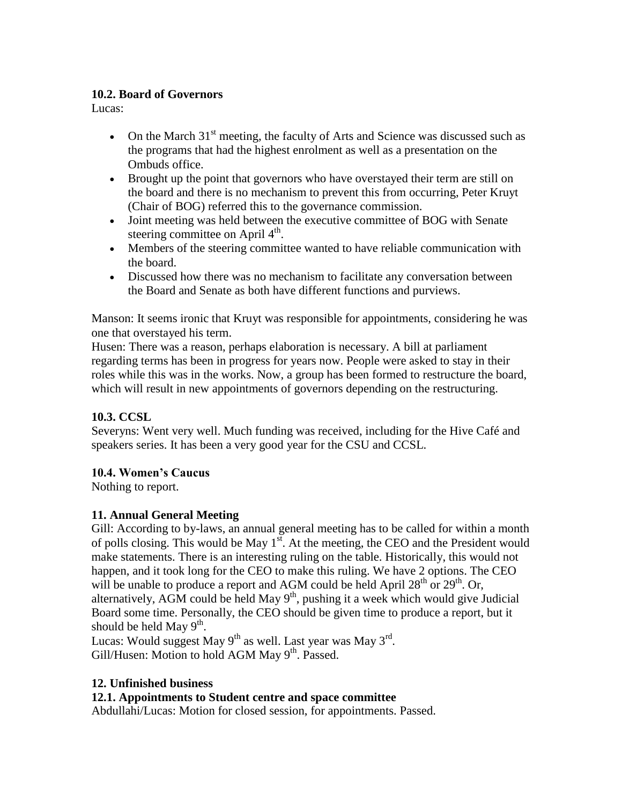## **10.2. Board of Governors**

Lucas:

- On the March  $31<sup>st</sup>$  meeting, the faculty of Arts and Science was discussed such as the programs that had the highest enrolment as well as a presentation on the Ombuds office.
- Brought up the point that governors who have overstayed their term are still on the board and there is no mechanism to prevent this from occurring, Peter Kruyt (Chair of BOG) referred this to the governance commission.
- Joint meeting was held between the executive committee of BOG with Senate steering committee on April 4<sup>th</sup>.
- Members of the steering committee wanted to have reliable communication with the board.
- Discussed how there was no mechanism to facilitate any conversation between the Board and Senate as both have different functions and purviews.

Manson: It seems ironic that Kruyt was responsible for appointments, considering he was one that overstayed his term.

Husen: There was a reason, perhaps elaboration is necessary. A bill at parliament regarding terms has been in progress for years now. People were asked to stay in their roles while this was in the works. Now, a group has been formed to restructure the board, which will result in new appointments of governors depending on the restructuring.

# **10.3. CCSL**

Severyns: Went very well. Much funding was received, including for the Hive Café and speakers series. It has been a very good year for the CSU and CCSL.

## **10.4. Women's Caucus**

Nothing to report.

# **11. Annual General Meeting**

Gill: According to by-laws, an annual general meeting has to be called for within a month of polls closing. This would be May  $1<sup>st</sup>$ . At the meeting, the CEO and the President would make statements. There is an interesting ruling on the table. Historically, this would not happen, and it took long for the CEO to make this ruling. We have 2 options. The CEO will be unable to produce a report and AGM could be held April  $28<sup>th</sup>$  or  $29<sup>th</sup>$ . Or, alternatively, AGM could be held May  $9<sup>th</sup>$ , pushing it a week which would give Judicial Board some time. Personally, the CEO should be given time to produce a report, but it should be held May  $9^{\text{th}}$ .

Lucas: Would suggest May  $9^{th}$  as well. Last year was May  $3^{rd}$ . Gill/Husen: Motion to hold AGM May  $9<sup>th</sup>$ . Passed.

## **12. Unfinished business**

## **12.1. Appointments to Student centre and space committee**

Abdullahi/Lucas: Motion for closed session, for appointments. Passed.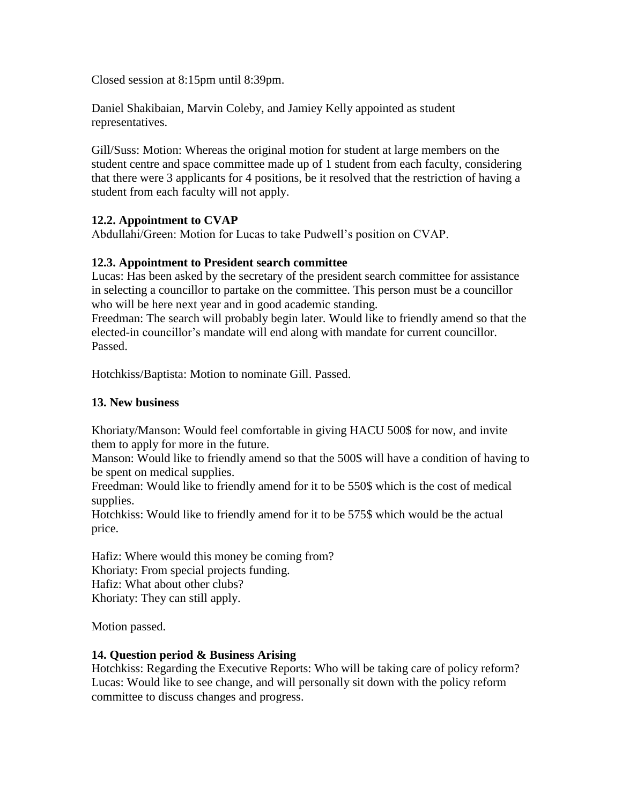Closed session at 8:15pm until 8:39pm.

Daniel Shakibaian, Marvin Coleby, and Jamiey Kelly appointed as student representatives.

Gill/Suss: Motion: Whereas the original motion for student at large members on the student centre and space committee made up of 1 student from each faculty, considering that there were 3 applicants for 4 positions, be it resolved that the restriction of having a student from each faculty will not apply.

## **12.2. Appointment to CVAP**

Abdullahi/Green: Motion for Lucas to take Pudwell"s position on CVAP.

## **12.3. Appointment to President search committee**

Lucas: Has been asked by the secretary of the president search committee for assistance in selecting a councillor to partake on the committee. This person must be a councillor who will be here next year and in good academic standing.

Freedman: The search will probably begin later. Would like to friendly amend so that the elected-in councillor"s mandate will end along with mandate for current councillor. Passed.

Hotchkiss/Baptista: Motion to nominate Gill. Passed.

## **13. New business**

Khoriaty/Manson: Would feel comfortable in giving HACU 500\$ for now, and invite them to apply for more in the future.

Manson: Would like to friendly amend so that the 500\$ will have a condition of having to be spent on medical supplies.

Freedman: Would like to friendly amend for it to be 550\$ which is the cost of medical supplies.

Hotchkiss: Would like to friendly amend for it to be 575\$ which would be the actual price.

Hafiz: Where would this money be coming from? Khoriaty: From special projects funding. Hafiz: What about other clubs? Khoriaty: They can still apply.

Motion passed.

#### **14. Question period & Business Arising**

Hotchkiss: Regarding the Executive Reports: Who will be taking care of policy reform? Lucas: Would like to see change, and will personally sit down with the policy reform committee to discuss changes and progress.